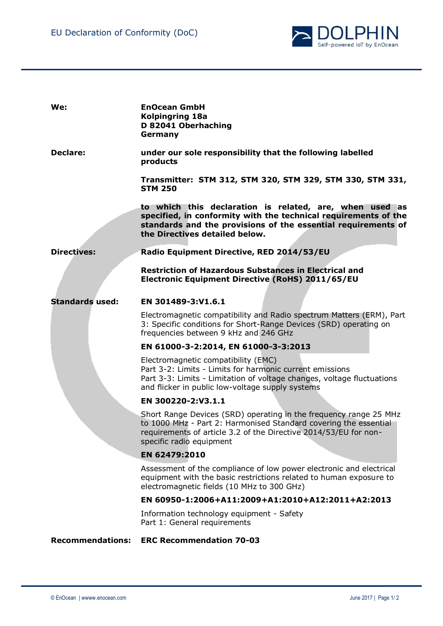

| We:                     | <b>EnOcean GmbH</b><br><b>Kolpingring 18a</b><br>D 82041 Oberhaching<br>Germany                                                                                                                                                       |
|-------------------------|---------------------------------------------------------------------------------------------------------------------------------------------------------------------------------------------------------------------------------------|
| <b>Declare:</b>         | under our sole responsibility that the following labelled<br>products                                                                                                                                                                 |
|                         | Transmitter: STM 312, STM 320, STM 329, STM 330, STM 331,<br><b>STM 250</b>                                                                                                                                                           |
|                         | to which this declaration is related, are, when used as<br>specified, in conformity with the technical requirements of the<br>standards and the provisions of the essential requirements of<br>the Directives detailed below.         |
| <b>Directives:</b>      | Radio Equipment Directive, RED 2014/53/EU                                                                                                                                                                                             |
|                         | <b>Restriction of Hazardous Substances in Electrical and</b><br>Electronic Equipment Directive (RoHS) 2011/65/EU                                                                                                                      |
| <b>Standards used:</b>  | EN 301489-3:V1.6.1                                                                                                                                                                                                                    |
|                         | Electromagnetic compatibility and Radio spectrum Matters (ERM), Part<br>3: Specific conditions for Short-Range Devices (SRD) operating on<br>frequencies between 9 kHz and 246 GHz                                                    |
|                         | EN 61000-3-2:2014, EN 61000-3-3:2013                                                                                                                                                                                                  |
|                         | Electromagnetic compatibility (EMC)<br>Part 3-2: Limits - Limits for harmonic current emissions<br>Part 3-3: Limits - Limitation of voltage changes, voltage fluctuations<br>and flicker in public low-voltage supply systems         |
|                         | EN 300220-2:V3.1.1                                                                                                                                                                                                                    |
|                         | Short Range Devices (SRD) operating in the frequency range 25 MHz<br>to 1000 MHz - Part 2: Harmonised Standard covering the essential<br>requirements of article 3.2 of the Directive 2014/53/EU for non-<br>specific radio equipment |
|                         | EN 62479:2010                                                                                                                                                                                                                         |
|                         | Assessment of the compliance of low power electronic and electrical<br>equipment with the basic restrictions related to human exposure to<br>electromagnetic fields (10 MHz to 300 GHz)                                               |
|                         | EN 60950-1:2006+A11:2009+A1:2010+A12:2011+A2:2013                                                                                                                                                                                     |
|                         | Information technology equipment - Safety<br>Part 1: General requirements                                                                                                                                                             |
| <b>Recommendations:</b> | <b>ERC Recommendation 70-03</b>                                                                                                                                                                                                       |